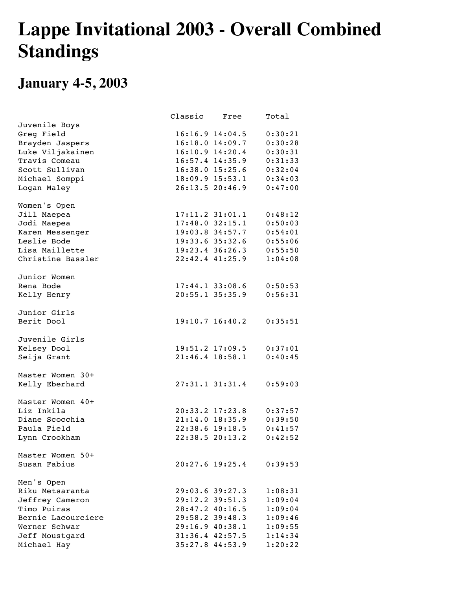## **Lappe Invitational 2003 - Overall Combined Standings**

## **January 4-5, 2003**

|                    | Classic Free |                             | Total   |
|--------------------|--------------|-----------------------------|---------|
| Juvenile Boys      |              |                             |         |
| Greg Field         |              | $16:16.9$ $14:04.5$         | 0:30:21 |
| Brayden Jaspers    |              | $16:18.0$ $14:09.7$         | 0:30:28 |
| Luke Viljakainen   |              | 16:10.9 14:20.4             | 0:30:31 |
| Travis Comeau      |              | $16:57.4$ $14:35.9$         | 0:31:33 |
| Scott Sullivan     |              | 16:38.0 15:25.6 0:32:04     |         |
| Michael Somppi     |              | 18:09.9 15:53.1 0:34:03     |         |
| Logan Maley        |              | 26:13.5 20:46.9 0:47:00     |         |
| Women's Open       |              |                             |         |
| Jill Maepea        |              | $17:11.2$ 31:01.1 0:48:12   |         |
| Jodi Maepea        |              | $17:48.0$ 32:15.1 0:50:03   |         |
| Karen Messenger    |              | 19:03.8 34:57.7 0:54:01     |         |
| Leslie Bode        |              | 19:33.6 35:32.6 0:55:06     |         |
| Lisa Maillette     |              | 19:23.4 36:26.3 0:55:50     |         |
| Christine Bassler  |              | 22:42.4 41:25.9             | 1:04:08 |
| Junior Women       |              |                             |         |
| Rena Bode          |              | $17:44.1$ 33:08.6 0:50:53   |         |
| Kelly Henry        |              | 20:55.1 35:35.9 0:56:31     |         |
| Junior Girls       |              |                             |         |
| Berit Dool         |              | $19:10.7$ 16:40.2 0:35:51   |         |
| Juvenile Girls     |              |                             |         |
| Kelsey Dool        |              | 19:51.2 17:09.5 0:37:01     |         |
| Seija Grant        |              | $21:46.4$ 18:58.1 0:40:45   |         |
| Master Women 30+   |              |                             |         |
| Kelly Eberhard     |              | $27:31.1$ $31:31.4$ 0:59:03 |         |
| Master Women 40+   |              |                             |         |
| Liz Inkila         |              | 20:33.2 17:23.8 0:37:57     |         |
| Diane Scocchia     |              | 21:14.0 18:35.9 0:39:50     |         |
| Paula Field        |              | 22:38.6 19:18.5 0:41:57     |         |
| Lynn Crookham      |              | 22:38.520:13.2              | 0:42:52 |
| Master Women 50+   |              |                             |         |
| Susan Fabius       |              | $20:27.6$ 19:25.4           | 0:39:53 |
| Men's Open         |              |                             |         |
| Riku Metsaranta    |              | 29:03.6 39:27.3             | 1:08:31 |
| Jeffrey Cameron    |              | 29:12.2 39:51.3             | 1:09:04 |
| Timo Puiras        |              | $28:47.2$ $40:16.5$         | 1:09:04 |
| Bernie Lacourciere |              | 29:58.2 39:48.3             | 1:09:46 |
| Werner Schwar      |              | $29:16.9$ $40:38.1$         | 1:09:55 |
| Jeff Moustgard     |              | $31:36.4$ $42:57.5$         | 1:14:34 |
| Michael Hay        |              | 35:27.844:53.9              | 1:20:22 |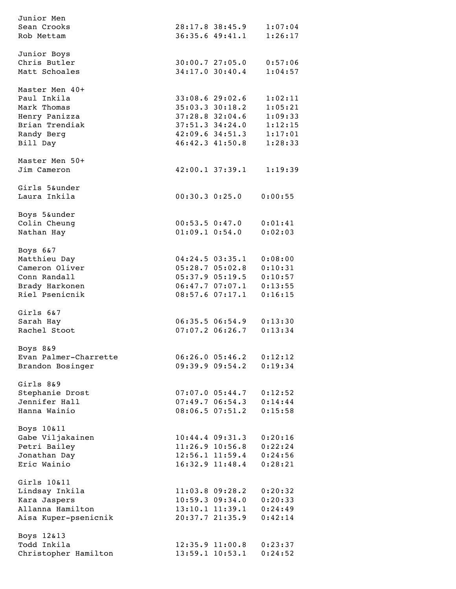| Junior Men            |                     |                              |
|-----------------------|---------------------|------------------------------|
| Sean Crooks           |                     | 28:17.8 38:45.9 1:07:04      |
| Rob Mettam            |                     | 36:35.6 49:41.1 1:26:17      |
|                       |                     |                              |
| Junior Boys           |                     |                              |
| Chris Butler          |                     | 30:00.7 27:05.0 0:57:06      |
| Matt Schoales         |                     | 34:17.0 30:40.4 1:04:57      |
|                       |                     |                              |
| Master Men 40+        |                     |                              |
| Paul Inkila           |                     | 33:08.6 29:02.6 1:02:11      |
| Mark Thomas           |                     |                              |
|                       |                     | 35:03.3 30:18.2 1:05:21      |
| Henry Panizza         |                     | 37:28.8 32:04.6 1:09:33      |
| Brian Trendiak        |                     | 37:51.3 34:24.0 1:12:15      |
| Randy Berg            |                     | 42:09.6 34:51.3 1:17:01      |
| Bill Day              |                     | 46:42.3 41:50.8 1:28:33      |
|                       |                     |                              |
| Master Men 50+        |                     |                              |
| Jim Cameron           |                     | 42:00.1 37:39.1 1:19:39      |
|                       |                     |                              |
| Girls 5&under         |                     |                              |
| Laura Inkila          |                     | $00:30.3$ $0:25.0$ $0:00:55$ |
|                       |                     |                              |
| Boys 5&under          |                     |                              |
| Colin Cheung          |                     | 00:53.5 0:47.0 0:01:41       |
| Nathan Hay            |                     | $01:09.1$ $0:54.0$ $0:02:03$ |
|                       |                     |                              |
| Boys 6&7              |                     |                              |
| Matthieu Day          |                     | 04:24.5 03:35.1 0:08:00      |
| Cameron Oliver        |                     | 05:28.7 05:02.8 0:10:31      |
| Conn Randall          |                     | 05:37.9 05:19.5 0:10:57      |
| Brady Harkonen        |                     | 06:47.7 07:07.1 0:13:55      |
| Riel Psenicnik        |                     | 08:57.6 07:17.1 0:16:15      |
|                       |                     |                              |
| Girls 6&7             |                     |                              |
| Sarah Hay             |                     | 06:35.5 06:54.9 0:13:30      |
| Rachel Stoot          |                     | 07:07.2 06:26.7 0:13:34      |
|                       |                     |                              |
| Boys 8&9              |                     |                              |
| Evan Palmer-Charrette | 06:26.005:46.2      | 0:12:12                      |
|                       |                     |                              |
| Brandon Bosinger      | 09:39.909:54.2      | 0:19:34                      |
|                       |                     |                              |
| Girls 8&9             |                     |                              |
| Stephanie Drost       | $07:07.0$ $05:44.7$ | 0:12:52                      |
| Jennifer Hall         | 07:49.706:54.3      | 0:14:44                      |
| Hanna Wainio          | $08:06.5$ $07:51.2$ | 0:15:58                      |
|                       |                     |                              |
| Boys 10&11            |                     |                              |
| Gabe Viljakainen      | $10:44.4$ $09:31.3$ | 0:20:16                      |
| Petri Bailey          | $11:26.9$ $10:56.8$ | 0:22:24                      |
| Jonathan Day          | $12:56.1$ $11:59.4$ | 0:24:56                      |
| Eric Wainio           | $16:32.9$ $11:48.4$ | 0:28:21                      |
|                       |                     |                              |
| Girls 10&11           |                     |                              |
| Lindsay Inkila        | $11:03.8$ 09:28.2   | 0:20:32                      |
| Kara Jaspers          | $10:59.3$ $09:34.0$ | 0:20:33                      |
| Allanna Hamilton      | $13:10.1$ $11:39.1$ | 0:24:49                      |
| Aisa Kuper-psenicnik  | 20:37.7 21:35.9     | 0:42:14                      |
|                       |                     |                              |
| Boys 12&13            |                     |                              |
| Todd Inkila           | $12:35.9$ $11:00.8$ | 0:23:37                      |
| Christopher Hamilton  | 13:59.1 10:53.1     | 0:24:52                      |
|                       |                     |                              |